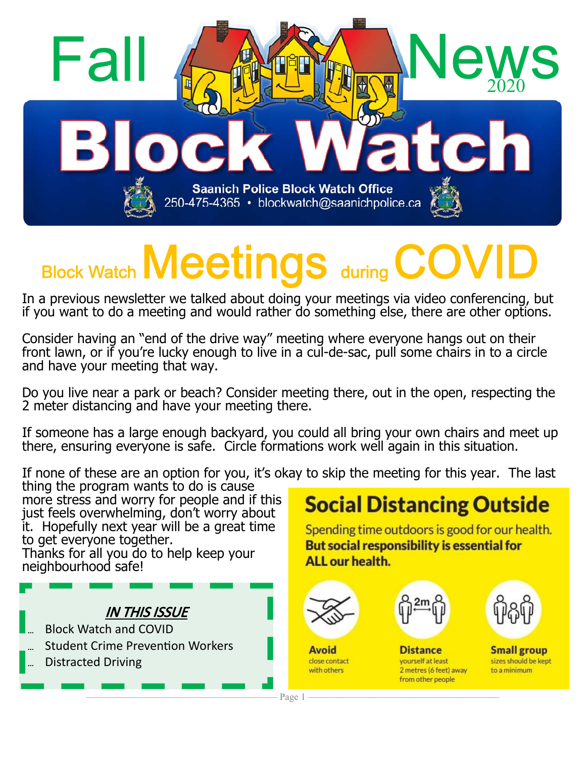

# **Block Watch Meetings during**

In a previous newsletter we talked about doing your meetings via video conferencing, but if you want to do a meeting and would rather do something else, there are other options.

Consider having an "end of the drive way" meeting where everyone hangs out on their front lawn, or if you're lucky enough to live in a cul-de-sac, pull some chairs in to a circle and have your meeting that way.

Do you live near a park or beach? Consider meeting there, out in the open, respecting the 2 meter distancing and have your meeting there.

If someone has a large enough backyard, you could all bring your own chairs and meet up there, ensuring everyone is safe. Circle formations work well again in this situation.

If none of these are an option for you, it's okay to skip the meeting for this year. The last thing the program wants to do is cause

more stress and worry for people and if this just feels overwhelming, don't worry about it. Hopefully next year will be a great time to get everyone together. Thanks for all you do to help keep your

neighbourhood safe!



## **Social Distancing Outside**

Spending time outdoors is good for our health. But social responsibility is essential for ALL our health.



**Avoid** 

close contact

with others



**Distance** 

yourself at least

from other people



**Small group** sizes should be kept 2 metres (6 feet) away to a minimum

———————————————————— Page 1 ————————————————————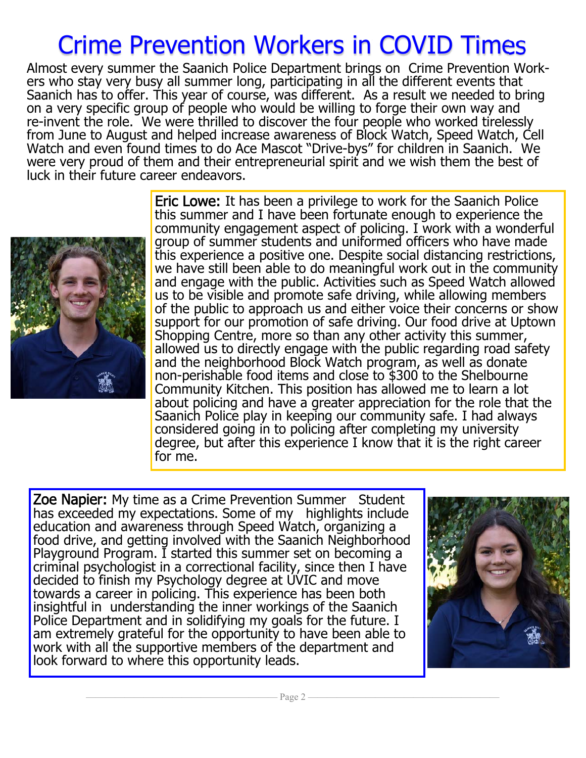## Crime Prevention Workers in COVID Times

Almost every summer the Saanich Police Department brings on Crime Prevention Workers who stay very busy all summer long, participating in all the different events that Saanich has to offer. This year of course, was different. As a result we needed to bring on a very specific group of people who would be willing to forge their own way and re-invent the role. We were thrilled to discover the four people who worked tirelessly from June to August and helped increase awareness of Block Watch, Speed Watch, Cell Watch and even found times to do Ace Mascot "Drive-bys" for children in Saanich. We were very proud of them and their entrepreneurial spirit and we wish them the best of luck in their future career endeavors.



Eric Lowe: It has been a privilege to work for the Saanich Police this summer and I have been fortunate enough to experience the community engagement aspect of policing. I work with a wonderful group of summer students and uniformed officers who have made this experience a positive one. Despite social distancing restrictions, we have still been able to do meaningful work out in the community and engage with the public. Activities such as Speed Watch allowed us to be visible and promote safe driving, while allowing members of the public to approach us and either voice their concerns or show support for our promotion of safe driving. Our food drive at Uptown Shopping Centre, more so than any other activity this summer, allowed us to directly engage with the public regarding road safety and the neighborhood Block Watch program, as well as donate non-perishable food items and close to \$300 to the Shelbourne Community Kitchen. This position has allowed me to learn a lot about policing and have a greater appreciation for the role that the Saanich Police play in keeping our community safe. I had always considered going in to policing after completing my university degree, but after this experience I know that it is the right career for me.

Zoe Napier: My time as a Crime Prevention Summer Student has exceeded my expectations. Some of my highlights include education and awareness through Speed Watch, organizing a food drive, and getting involved with the Saanich Neighborhood Playground Program. I started this summer set on becoming a criminal psychologist in a correctional facility, since then I have decided to finish my Psychology degree at UVIC and move towards a career in policing. This experience has been both insightful in understanding the inner workings of the Saanich Police Department and in solidifying my goals for the future. I am extremely grateful for the opportunity to have been able to work with all the supportive members of the department and look forward to where this opportunity leads.

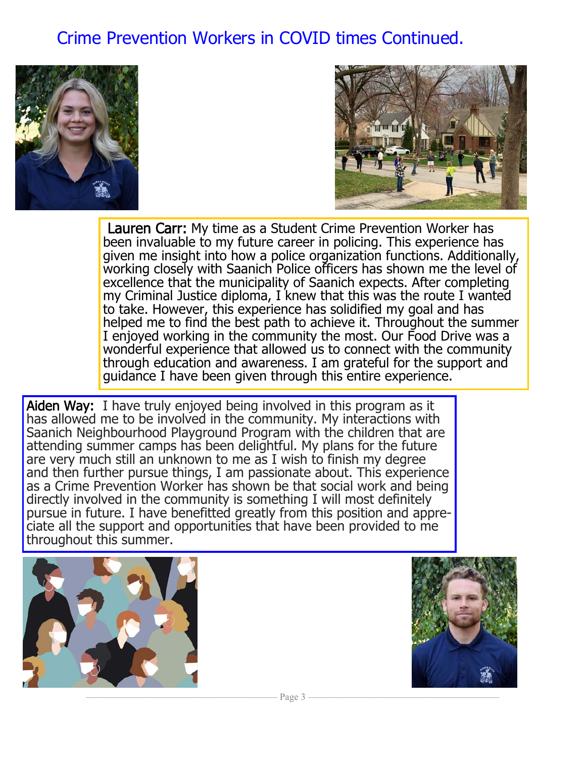### Crime Prevention Workers in COVID times Continued.





Lauren Carr: My time as a Student Crime Prevention Worker has been invaluable to my future career in policing. This experience has given me insight into how a police organization functions. Additionally, working closely with Saanich Police officers has shown me the level of excellence that the municipality of Saanich expects. After completing my Criminal Justice diploma, I knew that this was the route I wanted to take. However, this experience has solidified my goal and has helped me to find the best path to achieve it. Throughout the summer I enjoyed working in the community the most. Our Food Drive was a wonderful experience that allowed us to connect with the community through education and awareness. I am grateful for the support and guidance I have been given through this entire experience.

Aiden Way: I have truly enjoyed being involved in this program as it has allowed me to be involved in the community. My interactions with Saanich Neighbourhood Playground Program with the children that are attending summer camps has been delightful. My plans for the future are very much still an unknown to me as I wish to finish my degree and then further pursue things, I am passionate about. This experience as a Crime Prevention Worker has shown be that social work and being directly involved in the community is something I will most definitely pursue in future. I have benefitted greatly from this position and appreciate all the support and opportunities that have been provided to me throughout this summer.